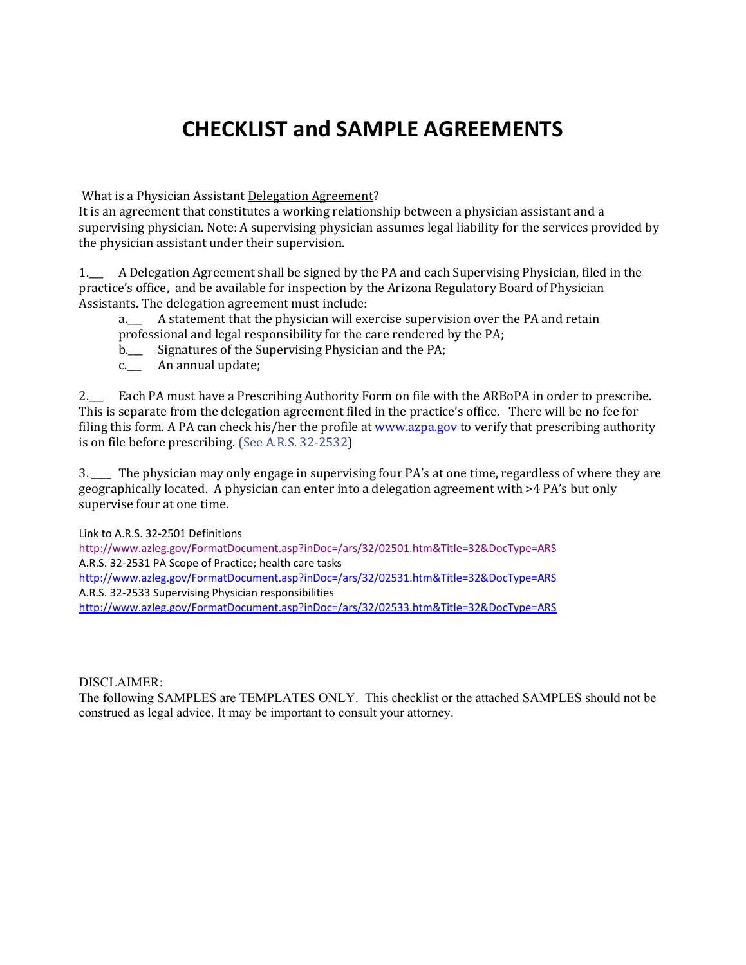# **CHECKLIST and SAMPLE AGREEMENTS**

What is a Physician Assistant Delegation Agreement?

It is an agreement that constitutes a working relationship between a physician assistant and a supervising physician. Note: A supervising physician assumes legal liability for the services provided by the physician assistant under their supervision.

1.\_\_\_ A Delegation Agreement shall be signed by the PA and each Supervising Physician, filed in the practice's office, and be available for inspection by the Arizona Regulatory Board of Physician Assistants. The delegation agreement must include:<br>a. A statement that the physician will ex-

A statement that the physician will exercise supervision over the PA and retain professional and legal responsibility for the care rendered by the PA;

- b.\_\_\_ Signatures of the Supervising Physician and the PA;
- c.\_\_\_ An annual update;

2.\_\_\_ Each PA must have a Prescribing Authority Form on file with the ARBoPA in order to prescribe. This is separate from the delegation agreement filed in the practice's office. There will be no fee for filing this form. A PA can check his/her the profile at www.azpa.gov to verify that prescribing authority is on file before prescribing. (See A.R.S. 32-2532)

3. \_\_\_\_ The physician may only engage in supervising four PA's at one time, regardless of where they are geographically located. A physician can enter into a delegation agreement with >4 PA's but only supervise four at one time.

Link to A.R.S. 32-2501 Definitions

http://www.azleg.gov/FormatDocument.asp?inDoc=/ars/32/02501.htm&Title=32&DocType=ARS A.R.S. 32-2531 PA Scope of Practice; health care tasks http://www.azleg.gov/FormatDocument.asp?inDoc=/ars/32/02531.htm&Title=32&DocType=ARS A.R.S. 32-2533 Supervising Physician responsibilities <http://www.azleg.gov/FormatDocument.asp?inDoc=/ars/32/02533.htm&Title=32&DocType=ARS>

### DISCLAIMER:

The following SAMPLES are TEMPLATES ONLY. This checklist or the attached SAMPLES should not be construed as legal advice. It may be important to consult your attorney.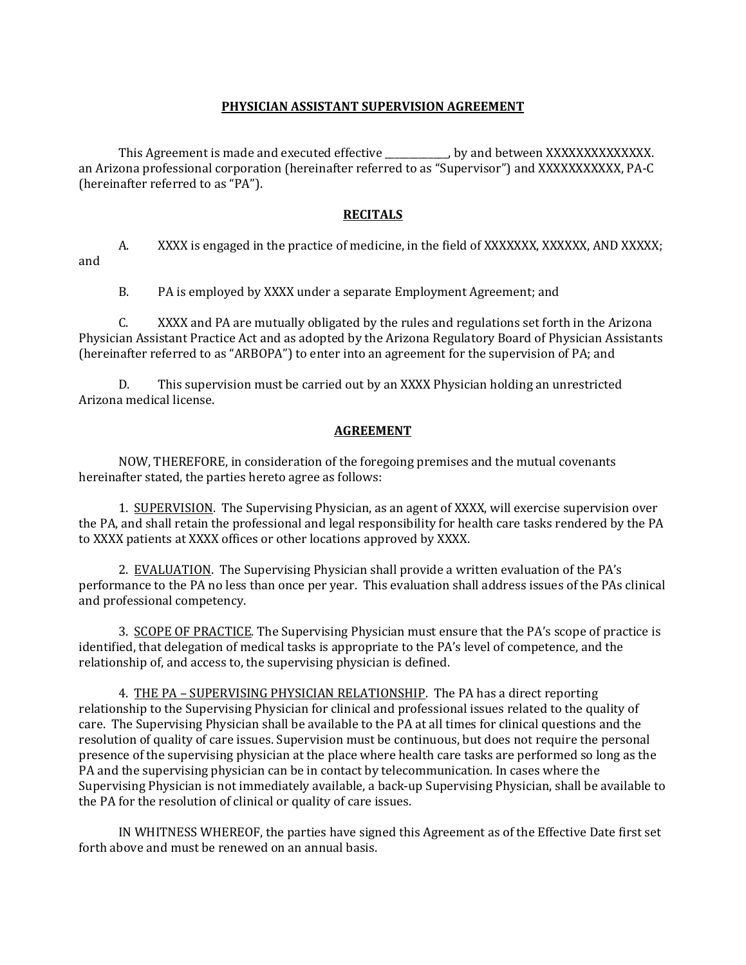### **PHYSICIAN ASSISTANT SUPERVISION AGREEMENT**

This Agreement is made and executed effective ... by and between XXXXXXXXXXXXXXXX. an Arizona professional corporation (hereinafter referred to as "Supervisor") and XXXXXXXXXXX, PA-C (hereinafter referred to as "PA").

### **RECITALS**

A. XXXX is engaged in the practice of medicine, in the field of XXXXXXX, XXXXXX, AND XXXXX; and

B. PA is employed by XXXX under a separate Employment Agreement; and

C. XXXX and PA are mutually obligated by the rules and regulations set forth in the Arizona Physician Assistant Practice Act and as adopted by the Arizona Regulatory Board of Physician Assistants (hereinafter referred to as "ARBOPA") to enter into an agreement for the supervision of PA; and

D. This supervision must be carried out by an XXXX Physician holding an unrestricted Arizona medical license.

### **AGREEMENT**

NOW, THEREFORE, in consideration of the foregoing premises and the mutual covenants hereinafter stated, the parties hereto agree as follows:

1. SUPERVISION. The Supervising Physician, as an agent of XXXX, will exercise supervision over the PA, and shall retain the professional and legal responsibility for health care tasks rendered by the PA to XXXX patients at XXXX offices or other locations approved by XXXX.

2. EVALUATION. The Supervising Physician shall provide a written evaluation of the PA's performance to the PA no less than once per year. This evaluation shall address issues of the PAs clinical and professional competency.

3. SCOPE OF PRACTICE. The Supervising Physician must ensure that the PA's scope of practice is identified, that delegation of medical tasks is appropriate to the PA's level of competence, and the relationship of, and access to, the supervising physician is defined.

4. THE PA – SUPERVISING PHYSICIAN RELATIONSHIP. The PA has a direct reporting relationship to the Supervising Physician for clinical and professional issues related to the quality of care. The Supervising Physician shall be available to the PA at all times for clinical questions and the resolution of quality of care issues. Supervision must be continuous, but does not require the personal presence of the supervising physician at the place where health care tasks are performed so long as the PA and the supervising physician can be in contact by telecommunication. In cases where the Supervising Physician is not immediately available, a back-up Supervising Physician, shall be available to the PA for the resolution of clinical or quality of care issues.

IN WHITNESS WHEREOF, the parties have signed this Agreement as of the Effective Date first set forth above and must be renewed on an annual basis.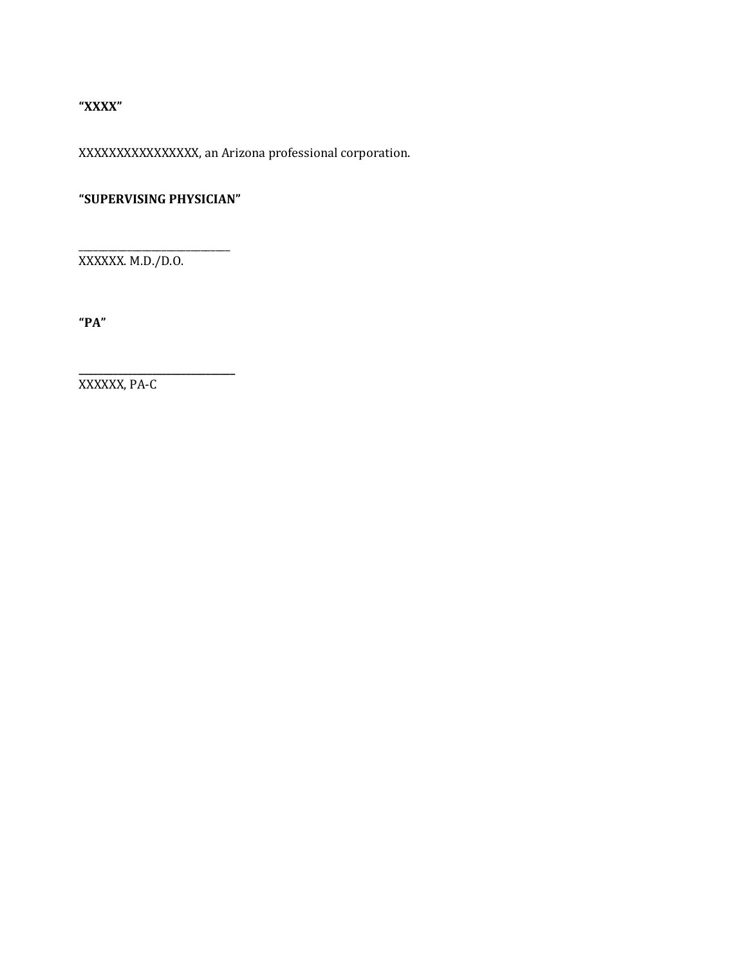### **"XXXX"**

XXXXXXXXXXXXXXXX, an Arizona professional corporation.

## **"SUPERVISING PHYSICIAN"**

**\_\_\_\_\_\_\_\_\_\_\_\_\_\_\_\_\_\_\_\_\_\_\_\_\_\_\_\_\_\_\_\_**

\_\_\_\_\_\_\_\_\_\_\_\_\_\_\_\_\_\_\_\_\_\_\_\_\_\_\_\_\_\_\_ XXXXXX. M.D./D.O.

**"PA"**

XXXXXX, PA-C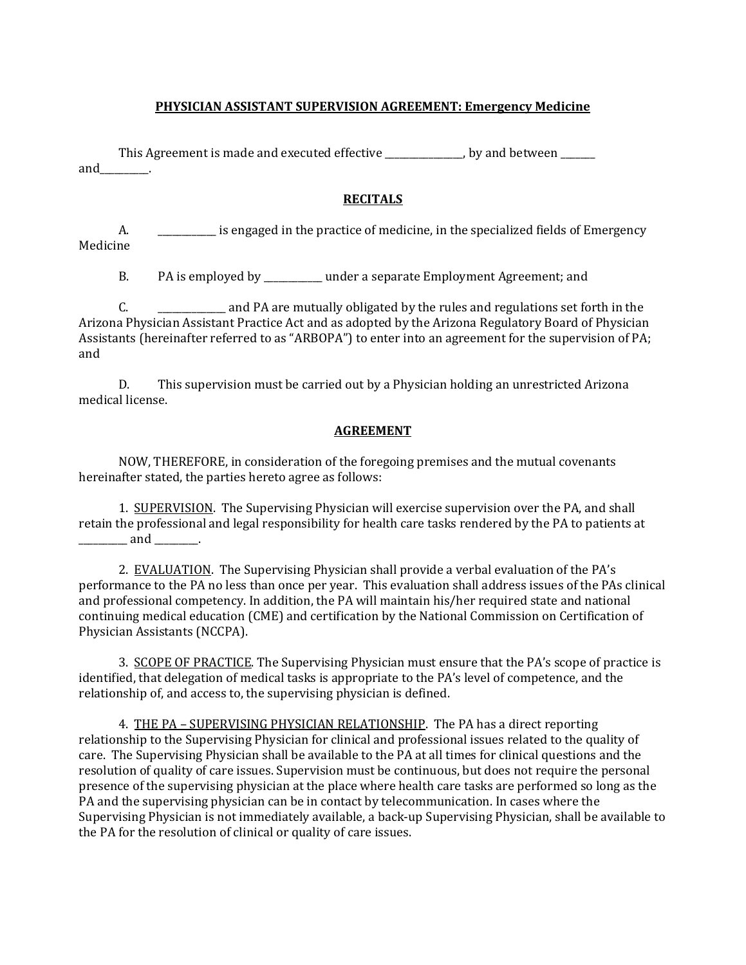### **PHYSICIAN ASSISTANT SUPERVISION AGREEMENT: Emergency Medicine**

This Agreement is made and executed effective \_\_\_\_\_\_\_\_\_\_\_\_, by and between \_\_\_\_\_ and\_\_\_\_\_\_\_\_\_\_.

### **RECITALS**

A.  $\blacksquare$  is engaged in the practice of medicine, in the specialized fields of Emergency Medicine

B. PA is employed by \_\_\_\_\_\_\_\_\_\_\_\_ under a separate Employment Agreement; and

C. \_\_\_\_\_\_\_\_\_\_\_\_\_ and PA are mutually obligated by the rules and regulations set forth in the Arizona Physician Assistant Practice Act and as adopted by the Arizona Regulatory Board of Physician Assistants (hereinafter referred to as "ARBOPA") to enter into an agreement for the supervision of PA; and

D. This supervision must be carried out by a Physician holding an unrestricted Arizona medical license.

### **AGREEMENT**

NOW, THEREFORE, in consideration of the foregoing premises and the mutual covenants hereinafter stated, the parties hereto agree as follows:

1. SUPERVISION. The Supervising Physician will exercise supervision over the PA, and shall retain the professional and legal responsibility for health care tasks rendered by the PA to patients at \_\_\_\_\_\_\_\_\_\_ and \_\_\_\_\_\_\_\_\_.

2. EVALUATION. The Supervising Physician shall provide a verbal evaluation of the PA's performance to the PA no less than once per year. This evaluation shall address issues of the PAs clinical and professional competency. In addition, the PA will maintain his/her required state and national continuing medical education (CME) and certification by the National Commission on Certification of Physician Assistants (NCCPA).

3. SCOPE OF PRACTICE. The Supervising Physician must ensure that the PA's scope of practice is identified, that delegation of medical tasks is appropriate to the PA's level of competence, and the relationship of, and access to, the supervising physician is defined.

4. THE PA – SUPERVISING PHYSICIAN RELATIONSHIP. The PA has a direct reporting relationship to the Supervising Physician for clinical and professional issues related to the quality of care. The Supervising Physician shall be available to the PA at all times for clinical questions and the resolution of quality of care issues. Supervision must be continuous, but does not require the personal presence of the supervising physician at the place where health care tasks are performed so long as the PA and the supervising physician can be in contact by telecommunication. In cases where the Supervising Physician is not immediately available, a back-up Supervising Physician, shall be available to the PA for the resolution of clinical or quality of care issues.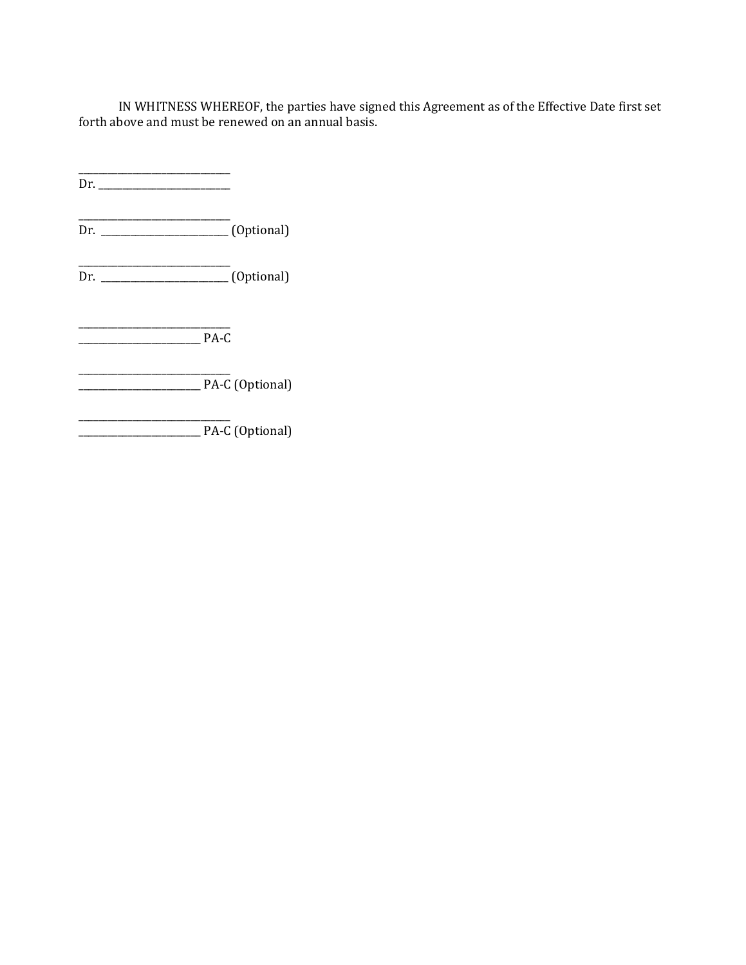IN WHITNESS WHEREOF, the parties have signed this Agreement as of the Effective Date first set forth above and must be renewed on an annual basis.

\_\_\_\_\_\_\_\_\_\_\_\_\_\_\_\_\_\_\_\_\_\_\_\_\_\_\_\_\_\_\_  $\overline{\text{Dr.}}$ 

\_\_\_\_\_\_\_\_\_\_\_\_\_\_\_\_\_\_\_\_\_\_\_\_\_\_\_\_\_\_\_ Dr. \_\_\_\_\_\_\_\_\_\_\_\_\_\_\_\_\_\_\_\_\_\_\_\_\_\_ (Optional)

\_\_\_\_\_\_\_\_\_\_\_\_\_\_\_\_\_\_\_\_\_\_\_\_\_\_\_\_\_\_\_ Dr. \_\_\_\_\_\_\_\_\_\_\_\_\_\_\_\_\_\_\_\_\_\_\_\_\_\_ (Optional)

\_\_\_\_\_\_\_\_\_\_\_\_\_\_\_\_\_\_\_\_\_\_\_\_\_\_\_\_\_\_\_ \_\_\_\_\_\_\_\_\_\_\_\_\_\_\_\_\_\_\_\_\_\_\_\_\_ PA-C

\_\_\_\_\_\_\_\_\_\_\_\_\_\_\_\_\_\_\_\_\_\_\_\_\_\_\_\_\_\_\_ \_\_\_\_\_\_\_\_\_\_\_\_\_\_\_\_\_\_\_\_\_\_\_\_\_ PA-C (Optional)

\_\_\_\_\_\_\_\_\_\_\_\_\_\_\_\_\_\_\_\_\_\_\_\_\_\_\_\_\_\_\_ \_\_\_\_\_\_\_\_\_\_\_\_\_\_\_\_\_\_\_\_\_\_\_\_\_ PA-C (Optional)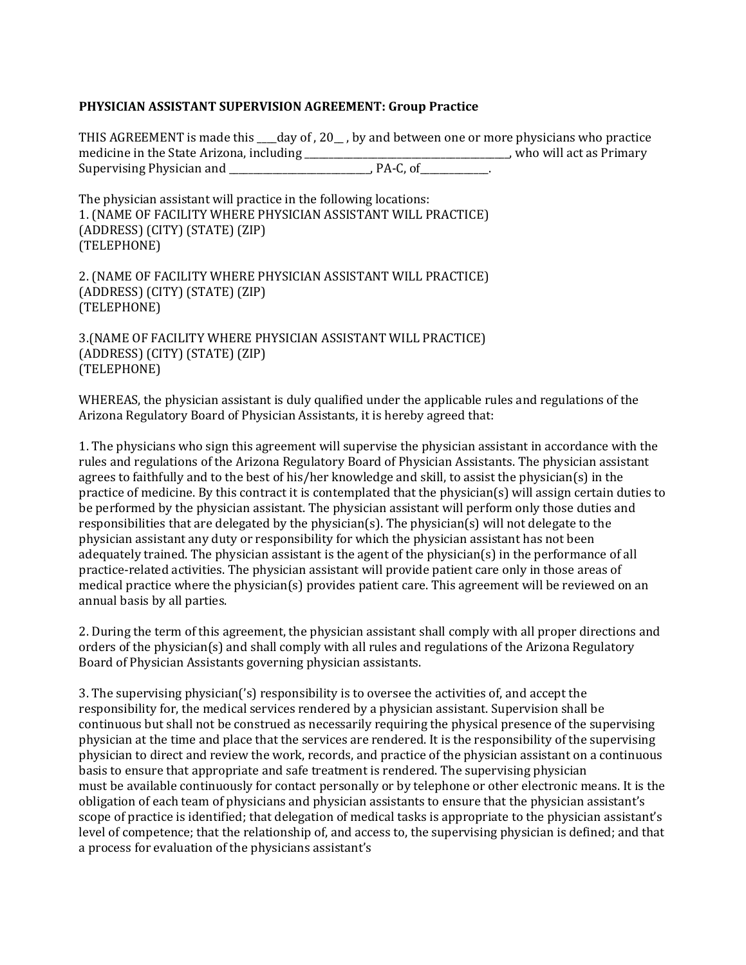### **PHYSICIAN ASSISTANT SUPERVISION AGREEMENT: Group Practice**

THIS AGREEMENT is made this \_\_\_\_day of , 20\_\_ , by and between one or more physicians who practice medicine in the State Arizona, including \_\_\_\_\_\_\_\_\_\_\_\_\_\_\_\_\_\_\_\_\_\_\_\_\_\_\_\_\_\_\_\_\_\_\_\_\_\_\_\_\_\_, who will act as Primary Supervising Physician and

The physician assistant will practice in the following locations: 1. (NAME OF FACILITY WHERE PHYSICIAN ASSISTANT WILL PRACTICE) (ADDRESS) (CITY) (STATE) (ZIP) (TELEPHONE)

2. (NAME OF FACILITY WHERE PHYSICIAN ASSISTANT WILL PRACTICE) (ADDRESS) (CITY) (STATE) (ZIP) (TELEPHONE)

3.(NAME OF FACILITY WHERE PHYSICIAN ASSISTANT WILL PRACTICE) (ADDRESS) (CITY) (STATE) (ZIP) (TELEPHONE)

WHEREAS, the physician assistant is duly qualified under the applicable rules and regulations of the Arizona Regulatory Board of Physician Assistants, it is hereby agreed that:

1. The physicians who sign this agreement will supervise the physician assistant in accordance with the rules and regulations of the Arizona Regulatory Board of Physician Assistants. The physician assistant agrees to faithfully and to the best of his/her knowledge and skill, to assist the physician(s) in the practice of medicine. By this contract it is contemplated that the physician(s) will assign certain duties to be performed by the physician assistant. The physician assistant will perform only those duties and responsibilities that are delegated by the physician(s). The physician(s) will not delegate to the physician assistant any duty or responsibility for which the physician assistant has not been adequately trained. The physician assistant is the agent of the physician(s) in the performance of all practice-related activities. The physician assistant will provide patient care only in those areas of medical practice where the physician(s) provides patient care. This agreement will be reviewed on an annual basis by all parties.

2. During the term of this agreement, the physician assistant shall comply with all proper directions and orders of the physician(s) and shall comply with all rules and regulations of the Arizona Regulatory Board of Physician Assistants governing physician assistants.

3. The supervising physician('s) responsibility is to oversee the activities of, and accept the responsibility for, the medical services rendered by a physician assistant. Supervision shall be continuous but shall not be construed as necessarily requiring the physical presence of the supervising physician at the time and place that the services are rendered. It is the responsibility of the supervising physician to direct and review the work, records, and practice of the physician assistant on a continuous basis to ensure that appropriate and safe treatment is rendered. The supervising physician must be available continuously for contact personally or by telephone or other electronic means. It is the obligation of each team of physicians and physician assistants to ensure that the physician assistant's scope of practice is identified; that delegation of medical tasks is appropriate to the physician assistant's level of competence; that the relationship of, and access to, the supervising physician is defined; and that a process for evaluation of the physicians assistant's